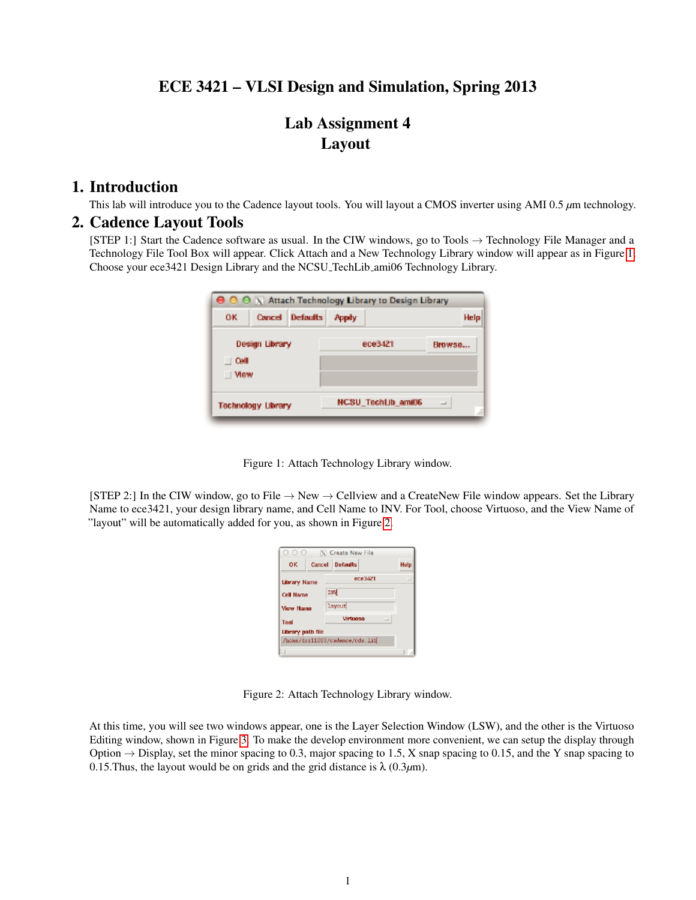## ECE 3421 – VLSI Design and Simulation, Spring 2013

# Lab Assignment 4 Layout

#### 1. Introduction

This lab will introduce you to the Cadence layout tools. You will layout a CMOS inverter using AMI 0.5 *µ*m technology.

#### 2. Cadence Layout Tools

[STEP 1:] Start the Cadence software as usual. In the CIW windows, go to Tools → Technology File Manager and a Technology File Tool Box will appear. Click Attach and a New Technology Library window will appear as in Figure [1.](#page-0-0) Choose your ece3421 Design Library and the NCSU TechLib ami06 Technology Library.

|                           |                |                        |                    | $\Theta$ $\Theta$ $\vee$ Attach Technology Library to Design Library |  |      |  |
|---------------------------|----------------|------------------------|--------------------|----------------------------------------------------------------------|--|------|--|
| ٥ĸ                        |                | <b>Cancel Defaults</b> | <b>Popity</b>      |                                                                      |  | Help |  |
|                           | Design Library |                        | ece3421            | Browse                                                               |  |      |  |
| Cell                      |                |                        |                    |                                                                      |  |      |  |
| View                      |                |                        |                    |                                                                      |  |      |  |
| <b>Technology Library</b> |                |                        | NCSU_TechLib_ami06 | $\overline{\phantom{a}}$                                             |  |      |  |
|                           |                |                        |                    |                                                                      |  |      |  |

<span id="page-0-0"></span>

[STEP 2:] In the CIW window, go to File  $\rightarrow$  New  $\rightarrow$  Cellview and a CreateNew File window appears. Set the Library Name to ece3421, your design library name, and Cell Name to INV. For Tool, choose Virtuoso, and the View Name of "layout" will be automatically added for you, as shown in Figure [2.](#page-0-1)

| 000                      |        | X Create New File              |      |
|--------------------------|--------|--------------------------------|------|
| OK                       | Cancel | <b>Defaults</b>                | Help |
| Library Name             |        | ece3421                        |      |
| <b>Cell Name</b>         |        | INV                            |      |
| <b>View Name</b>         |        | layout                         |      |
| Tool                     |        | Ulrtunen<br>$\equiv$           |      |
| <b>Library path file</b> |        |                                |      |
|                          |        | /home/doz11003/cadence/cds.lib |      |
|                          |        |                                |      |

<span id="page-0-1"></span>Figure 2: Attach Technology Library window.

At this time, you will see two windows appear, one is the Layer Selection Window (LSW), and the other is the Virtuoso Editing window, shown in Figure [3.](#page-1-0) To make the develop environment more convenient, we can setup the display through Option  $\rightarrow$  Display, set the minor spacing to 0.3, major spacing to 1.5, X snap spacing to 0.15, and the Y snap spacing to 0.15. Thus, the layout would be on grids and the grid distance is  $\lambda$  (0.3 $\mu$ m).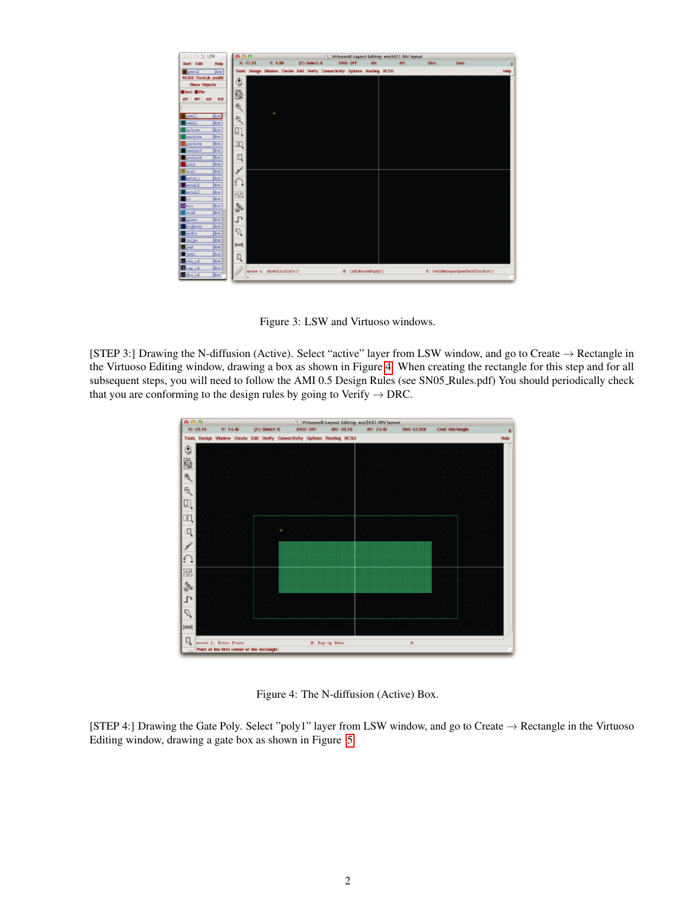

Figure 3: LSW and Virtuoso windows.

[STEP 3:] Drawing the N-diffusion (Active). Select "active" layer from LSW window, and go to Create → Rectangle in the Virtuoso Editing window, drawing a box as shown in Figure [4.](#page-1-1) When creating the rectangle for this step and for all subsequent steps, you will need to follow the AMI 0.5 Design Rules (see SN05 Rules.pdf) You should periodically check that you are conforming to the design rules by going to Verify  $\rightarrow$  DRC.

<span id="page-1-0"></span>

| 0.0.0  |                                            |                            |               |                  |    | V Virtuoso® Layout Editing: ece3421 INV layout                           |                |                |           |  |          |              |                  |                        |        |                    |                    |
|--------|--------------------------------------------|----------------------------|---------------|------------------|----|--------------------------------------------------------------------------|----------------|----------------|-----------|--|----------|--------------|------------------|------------------------|--------|--------------------|--------------------|
|        | $30 - 29.10$                               |                            | Y: 14.40      | $(F)$ Selectric  |    | DRD: OFF                                                                 |                | 400-59.10      | WY: 24.45 |  |          | Dist: 53.956 |                  | <b>Crid: Rectangle</b> |        |                    | £                  |
|        |                                            |                            |               |                  |    | Tools Design Window Create Edit Verify Connectivity Options Routing NCSU |                |                |           |  |          |              |                  |                        |        |                    | Help               |
| ۲      |                                            |                            |               |                  |    |                                                                          |                |                |           |  |          |              |                  |                        |        |                    | $\sim$             |
| G      |                                            |                            |               |                  |    |                                                                          | $\sim$         |                |           |  |          |              |                  |                        | $\sim$ |                    | $\sim$             |
| 庖      |                                            |                            |               |                  |    |                                                                          |                |                |           |  |          |              |                  |                        |        |                    | $\sim$             |
| G      |                                            |                            |               |                  |    | $\sim$                                                                   | $\sim$         | <b>College</b> |           |  |          |              |                  |                        | $\sim$ |                    | $\sim$             |
|        |                                            |                            |               |                  |    |                                                                          |                |                |           |  |          |              |                  |                        |        |                    |                    |
|        |                                            | <b>College</b>             | $\sim$<br>- 1 |                  |    |                                                                          |                |                |           |  |          |              |                  |                        | $\sim$ |                    | $\sim$             |
|        |                                            |                            |               | $\sim$           | Î. | $\sim$                                                                   |                |                |           |  |          |              | $\sim$ 100 $\mu$ | $\sim$                 | $\sim$ | $\sim$             | $\sim$ 10 $^\circ$ |
|        |                                            |                            |               | $\sim$           |    |                                                                          |                |                |           |  |          |              |                  | $\sim$                 | $\sim$ | $\sim$             | $\sim$             |
| ÷.     |                                            | $\sim$ 100 $\pm$<br>$\sim$ | $\sim$        | $\sim$           |    |                                                                          |                |                |           |  |          |              |                  | $\sim$                 | $\sim$ | $\sim$             | $\sim$             |
| 隅      |                                            |                            |               |                  |    |                                                                          |                |                |           |  |          |              |                  |                        |        |                    |                    |
| à      | and the state of                           | $\sim$                     | $\sim$        | $\sim$<br>$\sim$ |    |                                                                          |                |                |           |  |          |              |                  | $\sim$<br>$\sim$       | $\sim$ | the control of the | $\sim$             |
| Ŀ      |                                            |                            |               |                  |    |                                                                          |                |                |           |  |          |              |                  |                        | ×      |                    | $\sim$             |
| F)     |                                            |                            |               |                  |    |                                                                          |                |                |           |  |          |              |                  |                        |        |                    |                    |
| [bled] |                                            |                            |               |                  |    |                                                                          |                |                |           |  |          |              |                  |                        |        |                    |                    |
| q      | souse L: Enter Print-                      |                            |               |                  |    |                                                                          | H: Pop-up Nem. |                |           |  | $T_{11}$ |              |                  |                        |        |                    |                    |
|        | Point at the first comer of the rectangle: |                            |               |                  |    |                                                                          |                |                |           |  |          |              |                  |                        |        |                    |                    |

<span id="page-1-1"></span>Figure 4: The N-diffusion (Active) Box.

[STEP 4:] Drawing the Gate Poly. Select "poly1" layer from LSW window, and go to Create → Rectangle in the Virtuoso Editing window, drawing a gate box as shown in Figure [5.](#page-2-0)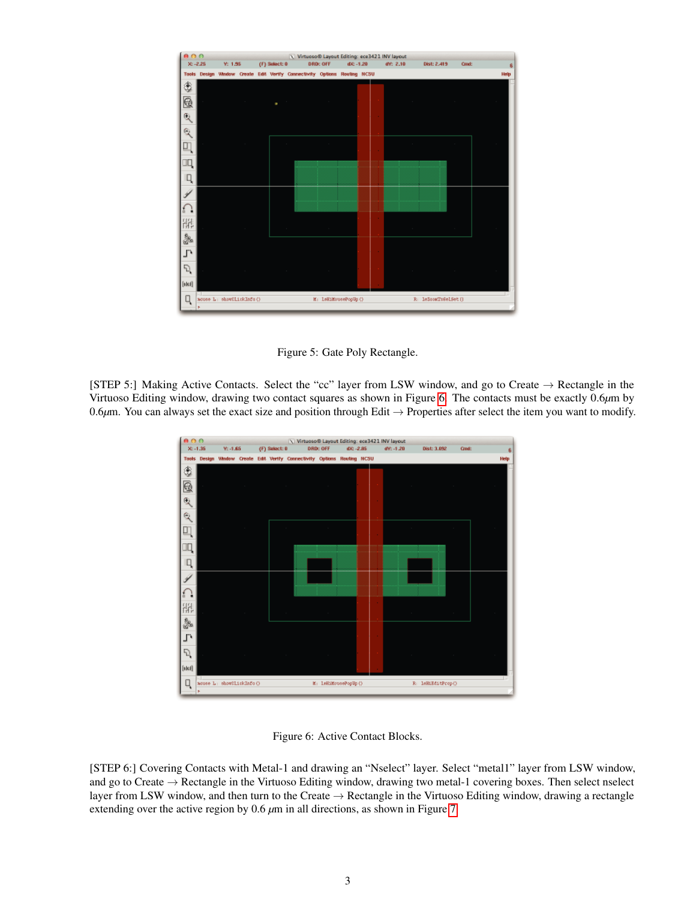

<span id="page-2-0"></span>Figure 5: Gate Poly Rectangle.

[STEP 5:] Making Active Contacts. Select the "cc" layer from LSW window, and go to Create → Rectangle in the Virtuoso Editing window, drawing two contact squares as shown in Figure [6.](#page-2-1) The contacts must be exactly 0.6*µ*m by 0.6 $\mu$ m. You can always set the exact size and position through Edit  $\rightarrow$  Properties after select the item you want to modify.



<span id="page-2-1"></span>Figure 6: Active Contact Blocks.

[STEP 6:] Covering Contacts with Metal-1 and drawing an "Nselect" layer. Select "metal1" layer from LSW window, and go to Create  $\rightarrow$  Rectangle in the Virtuoso Editing window, drawing two metal-1 covering boxes. Then select nselect layer from LSW window, and then turn to the Create  $\rightarrow$  Rectangle in the Virtuoso Editing window, drawing a rectangle extending over the active region by 0.6 *µ*m in all directions, as shown in Figure [7.](#page-3-0)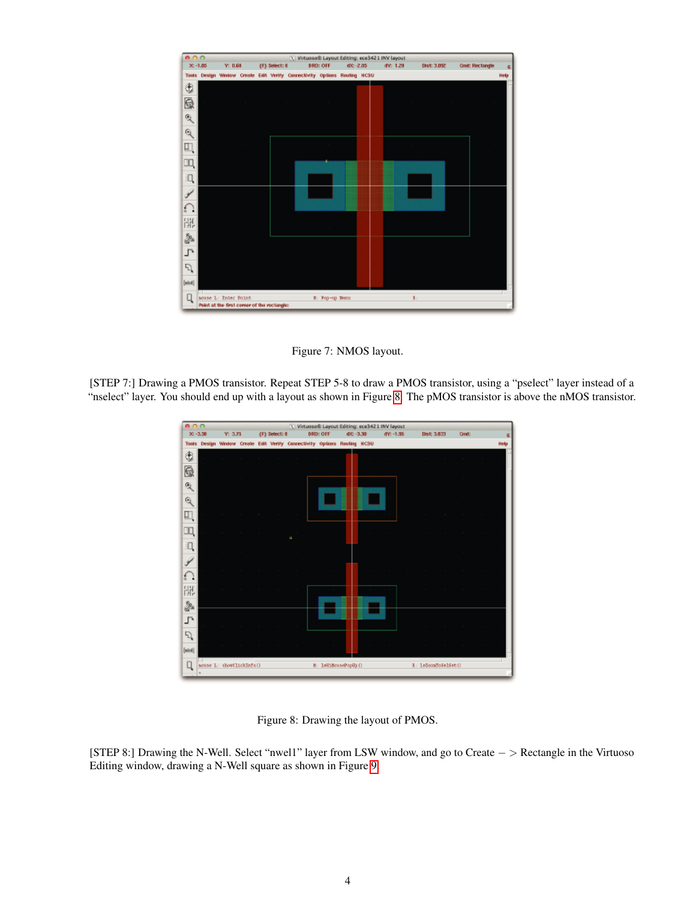

<span id="page-3-0"></span>Figure 7: NMOS layout.

[STEP 7:] Drawing a PMOS transistor. Repeat STEP 5-8 to draw a PMOS transistor, using a "pselect" layer instead of a "nselect" layer. You should end up with a layout as shown in Figure [8.](#page-3-1) The pMOS transistor is above the nMOS transistor.



<span id="page-3-1"></span>Figure 8: Drawing the layout of PMOS.

[STEP 8:] Drawing the N-Well. Select "nwel1" layer from LSW window, and go to Create − > Rectangle in the Virtuoso Editing window, drawing a N-Well square as shown in Figure [9.](#page-4-0)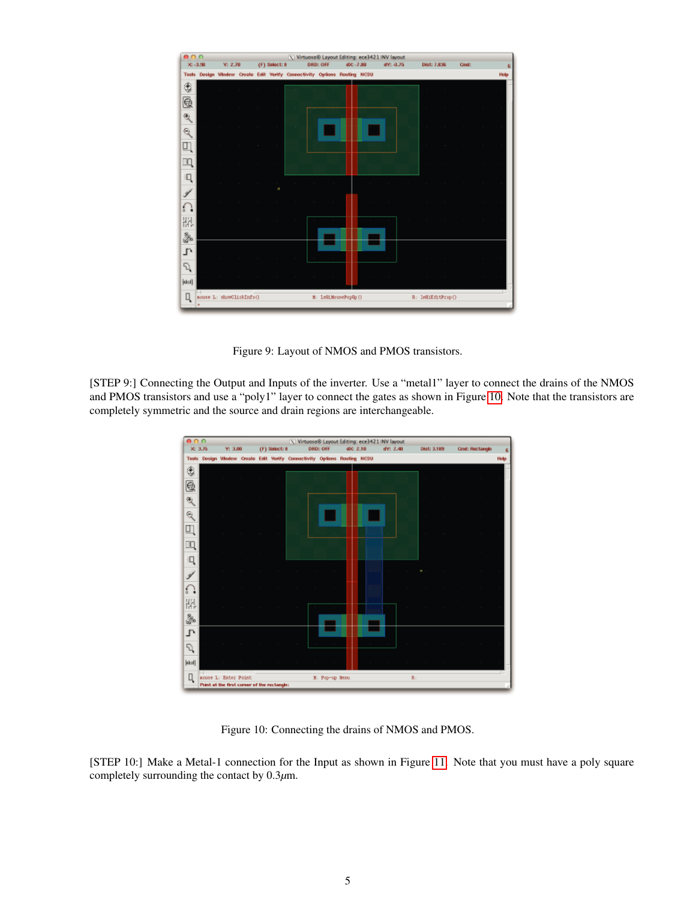

<span id="page-4-0"></span>Figure 9: Layout of NMOS and PMOS transistors.

[STEP 9:] Connecting the Output and Inputs of the inverter. Use a "metal1" layer to connect the drains of the NMOS and PMOS transistors and use a "poly1" layer to connect the gates as shown in Figure [10.](#page-4-1) Note that the transistors are completely symmetric and the source and drain regions are interchangeable.



<span id="page-4-1"></span>Figure 10: Connecting the drains of NMOS and PMOS.

[STEP 10:] Make a Metal-1 connection for the Input as shown in Figure [11.](#page-5-0) Note that you must have a poly square completely surrounding the contact by 0.3*µ*m.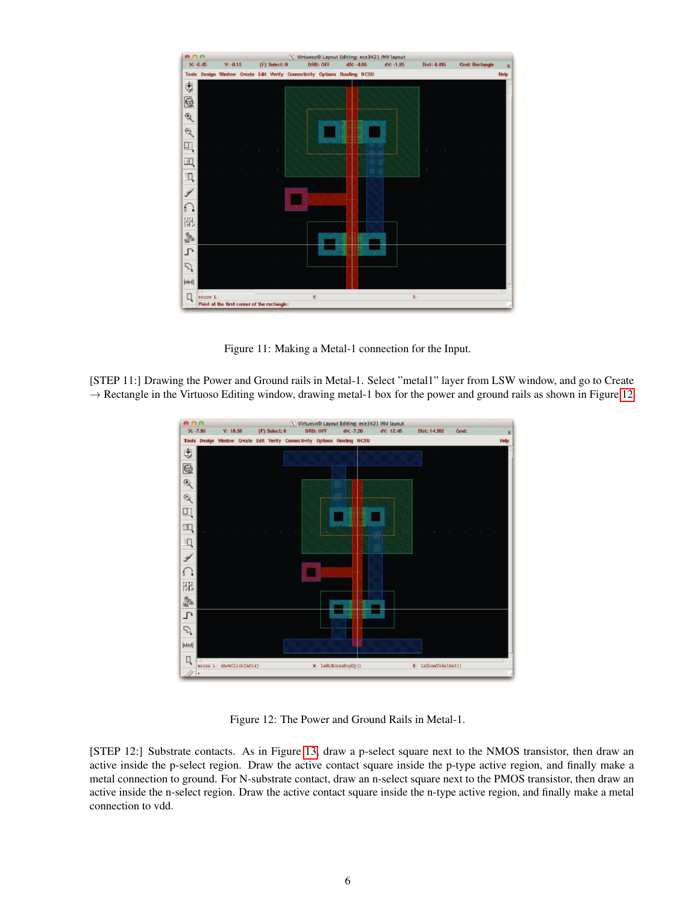

<span id="page-5-0"></span>Figure 11: Making a Metal-1 connection for the Input.

[STEP 11:] Drawing the Power and Ground rails in Metal-1. Select "metal1" layer from LSW window, and go to Create  $\rightarrow$  Rectangle in the Virtuoso Editing window, drawing metal-1 box for the power and ground rails as shown in Figure [12.](#page-5-1)



<span id="page-5-1"></span>Figure 12: The Power and Ground Rails in Metal-1.

[STEP 12:] Substrate contacts. As in Figure [13,](#page-6-0) draw a p-select square next to the NMOS transistor, then draw an active inside the p-select region. Draw the active contact square inside the p-type active region, and finally make a metal connection to ground. For N-substrate contact, draw an n-select square next to the PMOS transistor, then draw an active inside the n-select region. Draw the active contact square inside the n-type active region, and finally make a metal connection to vdd.